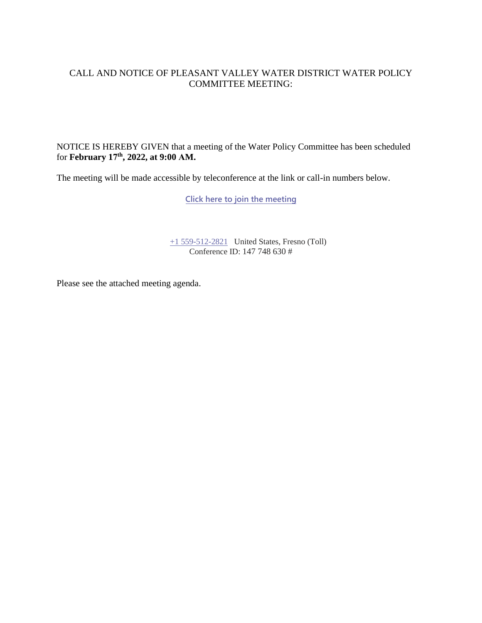### CALL AND NOTICE OF PLEASANT VALLEY WATER DISTRICT WATER POLICY COMMITTEE MEETING:

NOTICE IS HEREBY GIVEN that a meeting of the Water Policy Committee has been scheduled for **February 17 th, 2022, at 9:00 AM.**

The meeting will be made accessible by teleconference at the link or call-in numbers below.

**[Click here to join the meeting](https://teams.microsoft.com/l/meetup-join/19%3ameeting_NTI1MmMyNmUtNDlhNS00MzExLWFkZTAtNzU3N2U5OGRhNGE5%40thread.v2/0?context=%7b%22Tid%22%3a%22a6cf659f-2360-4ff9-9e8d-045f48434ada%22%2c%22Oid%22%3a%22d7c07c21-aea1-4965-a48d-46a35d2818b4%22%7d)**

[+1 559-512-2821](tel:+15595122821,,85232084# ) United States, Fresno (Toll) Conference ID: 147 748 630 #

Please see the attached meeting agenda.